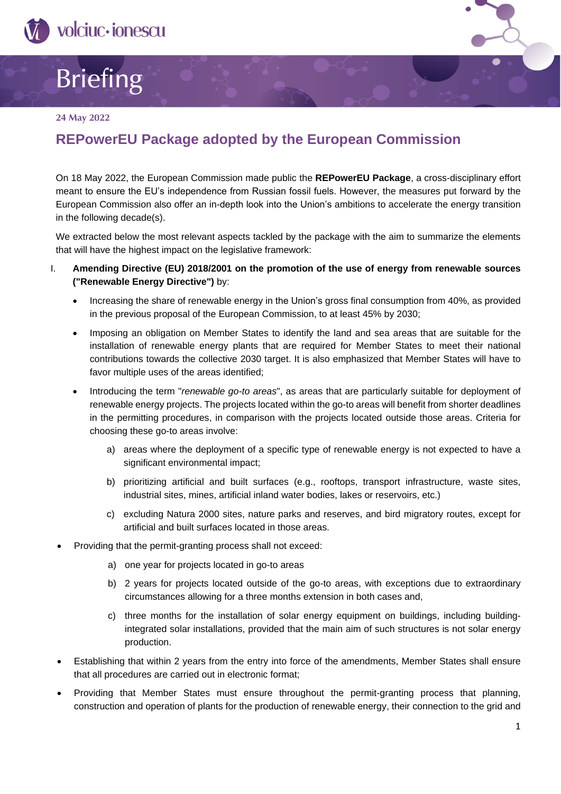



#### **24 May 2022**

# **REPowerEU Package adopted by the European Commission**

On 18 May 2022, the European Commission made public the **REPowerEU Package**, a cross-disciplinary effort meant to ensure the EU's independence from Russian fossil fuels. However, the measures put forward by the European Commission also offer an in-depth look into the Union's ambitions to accelerate the energy transition in the following decade(s).

We extracted below the most relevant aspects tackled by the package with the aim to summarize the elements that will have the highest impact on the legislative framework:

- I. **Amending Directive (EU) 2018/2001 on the promotion of the use of energy from renewable sources ("Renewable Energy Directive")** by:
	- Increasing the share of renewable energy in the Union's gross final consumption from 40%, as provided in the previous proposal of the European Commission, to at least 45% by 2030;
	- Imposing an obligation on Member States to identify the land and sea areas that are suitable for the installation of renewable energy plants that are required for Member States to meet their national contributions towards the collective 2030 target. It is also emphasized that Member States will have to favor multiple uses of the areas identified;
	- Introducing the term "*renewable go-to areas*", as areas that are particularly suitable for deployment of renewable energy projects. The projects located within the go-to areas will benefit from shorter deadlines in the permitting procedures, in comparison with the projects located outside those areas. Criteria for choosing these go-to areas involve:
		- a) areas where the deployment of a specific type of renewable energy is not expected to have a significant environmental impact;
		- b) prioritizing artificial and built surfaces (e.g., rooftops, transport infrastructure, waste sites, industrial sites, mines, artificial inland water bodies, lakes or reservoirs, etc.)
		- c) excluding Natura 2000 sites, nature parks and reserves, and bird migratory routes, except for artificial and built surfaces located in those areas.
	- Providing that the permit-granting process shall not exceed:
		- a) one year for projects located in go-to areas
		- b) 2 years for projects located outside of the go-to areas, with exceptions due to extraordinary circumstances allowing for a three months extension in both cases and,
		- c) three months for the installation of solar energy equipment on buildings, including buildingintegrated solar installations, provided that the main aim of such structures is not solar energy production.
	- Establishing that within 2 years from the entry into force of the amendments, Member States shall ensure that all procedures are carried out in electronic format;
	- Providing that Member States must ensure throughout the permit-granting process that planning, construction and operation of plants for the production of renewable energy, their connection to the grid and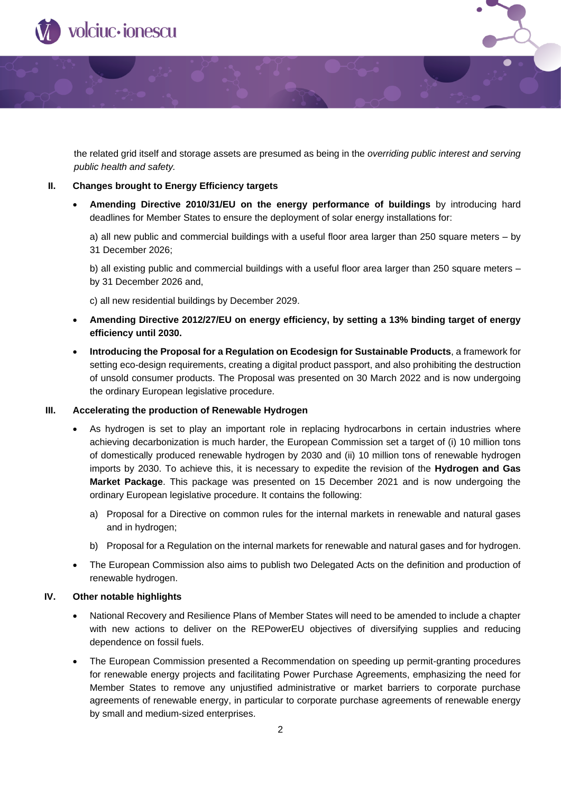

the related grid itself and storage assets are presumed as being in the *overriding public interest and serving public health and safety.* 

### **II. Changes brought to Energy Efficiency targets**

• **Amending Directive 2010/31/EU on the energy performance of buildings** by introducing hard deadlines for Member States to ensure the deployment of solar energy installations for:

a) all new public and commercial buildings with a useful floor area larger than 250 square meters – by 31 December 2026;

b) all existing public and commercial buildings with a useful floor area larger than 250 square meters – by 31 December 2026 and,

c) all new residential buildings by December 2029.

- **Amending Directive 2012/27/EU on energy efficiency, by setting a 13% binding target of energy efficiency until 2030.**
- **Introducing the Proposal for a Regulation on Ecodesign for Sustainable Products**, a framework for setting eco-design requirements, creating a digital product passport, and also prohibiting the destruction of unsold consumer products. The Proposal was presented on 30 March 2022 and is now undergoing the ordinary European legislative procedure.

### **III. Accelerating the production of Renewable Hydrogen**

- As hydrogen is set to play an important role in replacing hydrocarbons in certain industries where achieving decarbonization is much harder, the European Commission set a target of (i) 10 million tons of domestically produced renewable hydrogen by 2030 and (ii) 10 million tons of renewable hydrogen imports by 2030. To achieve this, it is necessary to expedite the revision of the **Hydrogen and Gas Market Package**. This package was presented on 15 December 2021 and is now undergoing the ordinary European legislative procedure. It contains the following:
	- a) Proposal for a Directive on common rules for the internal markets in renewable and natural gases and in hydrogen;
	- b) Proposal for a Regulation on the internal markets for renewable and natural gases and for hydrogen.
- The European Commission also aims to publish two Delegated Acts on the definition and production of renewable hydrogen.

## **IV. Other notable highlights**

- National Recovery and Resilience Plans of Member States will need to be amended to include a chapter with new actions to deliver on the REPowerEU objectives of diversifying supplies and reducing dependence on fossil fuels.
- The European Commission presented a Recommendation on speeding up permit-granting procedures for renewable energy projects and facilitating Power Purchase Agreements, emphasizing the need for Member States to remove any unjustified administrative or market barriers to corporate purchase agreements of renewable energy, in particular to corporate purchase agreements of renewable energy by small and medium-sized enterprises.